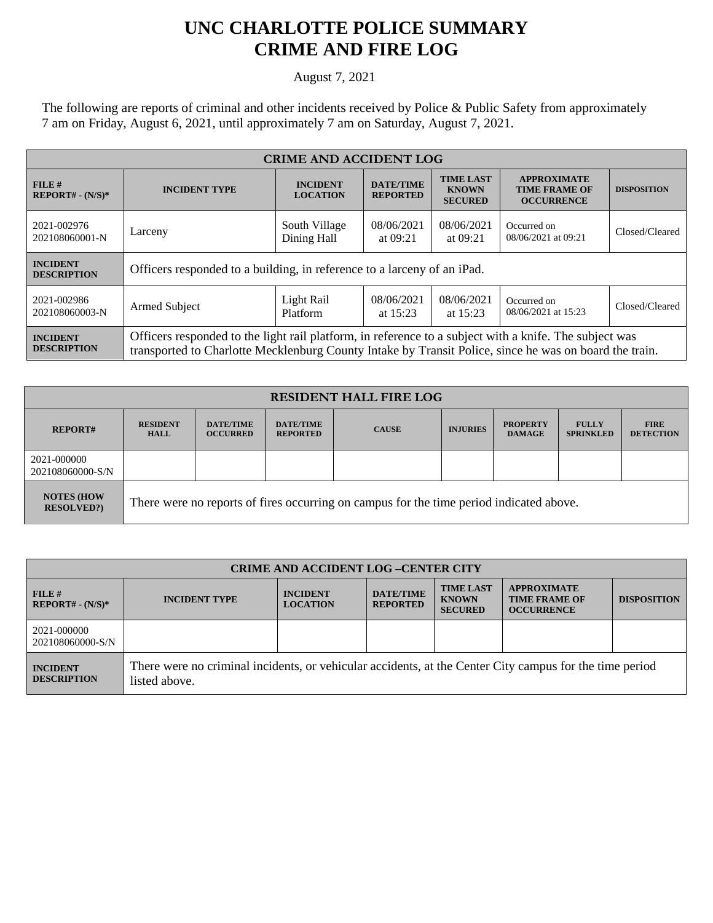## **UNC CHARLOTTE POLICE SUMMARY CRIME AND FIRE LOG**

August 7, 2021

The following are reports of criminal and other incidents received by Police & Public Safety from approximately 7 am on Friday, August 6, 2021, until approximately 7 am on Saturday, August 7, 2021.

| <b>CRIME AND ACCIDENT LOG</b>         |                                                                                                                                                                                                                  |                                    |                                     |                                                    |                                                                 |                    |
|---------------------------------------|------------------------------------------------------------------------------------------------------------------------------------------------------------------------------------------------------------------|------------------------------------|-------------------------------------|----------------------------------------------------|-----------------------------------------------------------------|--------------------|
| FILE#<br>$REPORT# - (N/S)*$           | <b>INCIDENT TYPE</b>                                                                                                                                                                                             | <b>INCIDENT</b><br><b>LOCATION</b> | <b>DATE/TIME</b><br><b>REPORTED</b> | <b>TIME LAST</b><br><b>KNOWN</b><br><b>SECURED</b> | <b>APPROXIMATE</b><br><b>TIME FRAME OF</b><br><b>OCCURRENCE</b> | <b>DISPOSITION</b> |
| 2021-002976<br>202108060001-N         | Larceny                                                                                                                                                                                                          | South Village<br>Dining Hall       | 08/06/2021<br>at $09:21$            | 08/06/2021<br>at $09:21$                           | Occurred on<br>08/06/2021 at 09:21                              | Closed/Cleared     |
| <b>INCIDENT</b><br><b>DESCRIPTION</b> | Officers responded to a building, in reference to a larceny of an iPad.                                                                                                                                          |                                    |                                     |                                                    |                                                                 |                    |
| 2021-002986<br>202108060003-N         | Armed Subject                                                                                                                                                                                                    | Light Rail<br>Platform             | 08/06/2021<br>at $15:23$            | 08/06/2021<br>at $15:23$                           | Occurred on<br>08/06/2021 at 15:23                              | Closed/Cleared     |
| <b>INCIDENT</b><br><b>DESCRIPTION</b> | Officers responded to the light rail platform, in reference to a subject with a knife. The subject was<br>transported to Charlotte Mecklenburg County Intake by Transit Police, since he was on board the train. |                                    |                                     |                                                    |                                                                 |                    |

| <b>RESIDENT HALL FIRE LOG</b>          |                                                                                         |                                     |                                     |              |                 |                                  |                                  |                                 |
|----------------------------------------|-----------------------------------------------------------------------------------------|-------------------------------------|-------------------------------------|--------------|-----------------|----------------------------------|----------------------------------|---------------------------------|
| <b>REPORT#</b>                         | <b>RESIDENT</b><br><b>HALL</b>                                                          | <b>DATE/TIME</b><br><b>OCCURRED</b> | <b>DATE/TIME</b><br><b>REPORTED</b> | <b>CAUSE</b> | <b>INJURIES</b> | <b>PROPERTY</b><br><b>DAMAGE</b> | <b>FULLY</b><br><b>SPRINKLED</b> | <b>FIRE</b><br><b>DETECTION</b> |
| 2021-000000<br>202108060000-S/N        |                                                                                         |                                     |                                     |              |                 |                                  |                                  |                                 |
| <b>NOTES (HOW</b><br><b>RESOLVED?)</b> | There were no reports of fires occurring on campus for the time period indicated above. |                                     |                                     |              |                 |                                  |                                  |                                 |

| <b>CRIME AND ACCIDENT LOG-CENTER CITY</b> |                                                                                                                          |                                    |                                     |                                                    |                                                                 |                    |
|-------------------------------------------|--------------------------------------------------------------------------------------------------------------------------|------------------------------------|-------------------------------------|----------------------------------------------------|-----------------------------------------------------------------|--------------------|
| $FILE$ #<br>$REPORT# - (N/S)*$            | <b>INCIDENT TYPE</b>                                                                                                     | <b>INCIDENT</b><br><b>LOCATION</b> | <b>DATE/TIME</b><br><b>REPORTED</b> | <b>TIME LAST</b><br><b>KNOWN</b><br><b>SECURED</b> | <b>APPROXIMATE</b><br><b>TIME FRAME OF</b><br><b>OCCURRENCE</b> | <b>DISPOSITION</b> |
| 2021-000000<br>202108060000-S/N           |                                                                                                                          |                                    |                                     |                                                    |                                                                 |                    |
| <b>INCIDENT</b><br><b>DESCRIPTION</b>     | There were no criminal incidents, or vehicular accidents, at the Center City campus for the time period<br>listed above. |                                    |                                     |                                                    |                                                                 |                    |